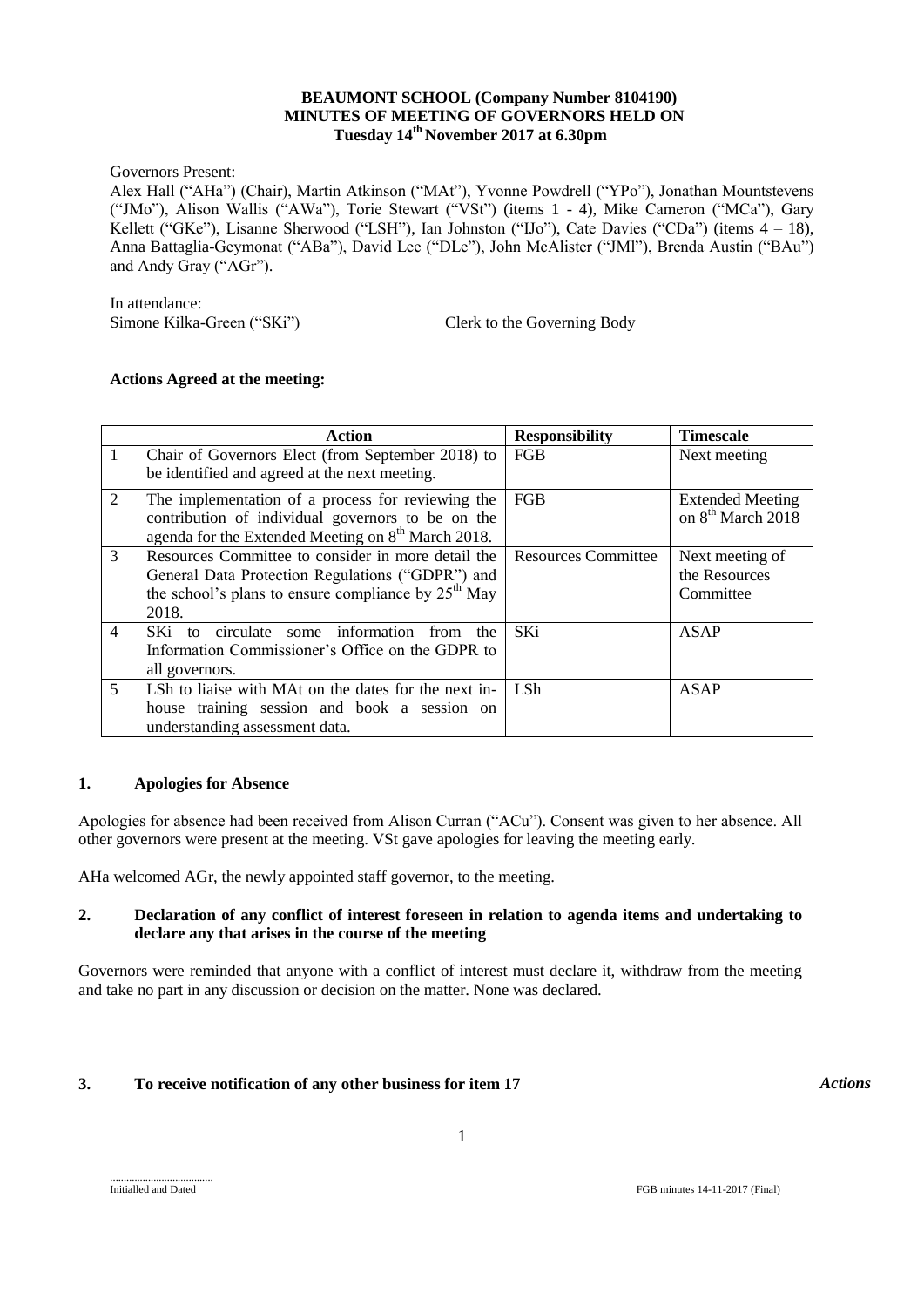### **BEAUMONT SCHOOL (Company Number 8104190) MINUTES OF MEETING OF GOVERNORS HELD ON Tuesday 14th November 2017 at 6.30pm**

Governors Present:

Alex Hall ("AHa") (Chair), Martin Atkinson ("MAt"), Yvonne Powdrell ("YPo"), Jonathan Mountstevens ("JMo"), Alison Wallis ("AWa"), Torie Stewart ("VSt") (items 1 - 4), Mike Cameron ("MCa"), Gary Kellett ("GKe"), Lisanne Sherwood ("LSH"), Ian Johnston ("IJo"), Cate Davies ("CDa") (items 4 - 18), Anna Battaglia-Geymonat ("ABa"), David Lee ("DLe"), John McAlister ("JMl"), Brenda Austin ("BAu") and Andy Gray ("AGr").

In attendance: Simone Kilka-Green ("SKi") Clerk to the Governing Body

# **Actions Agreed at the meeting:**

|                | Action                                                         | <b>Responsibility</b>      | <b>Timescale</b>              |
|----------------|----------------------------------------------------------------|----------------------------|-------------------------------|
| $\mathbf{1}$   | Chair of Governors Elect (from September 2018) to              | <b>FGB</b>                 | Next meeting                  |
|                | be identified and agreed at the next meeting.                  |                            |                               |
| $\overline{2}$ | The implementation of a process for reviewing the              | <b>FGB</b>                 | <b>Extended Meeting</b>       |
|                | contribution of individual governors to be on the              |                            | on 8 <sup>th</sup> March 2018 |
|                | agenda for the Extended Meeting on 8 <sup>th</sup> March 2018. |                            |                               |
| 3              | Resources Committee to consider in more detail the             | <b>Resources Committee</b> | Next meeting of               |
|                | General Data Protection Regulations ("GDPR") and               |                            | the Resources                 |
|                | the school's plans to ensure compliance by $25th$ May          |                            | Committee                     |
|                | 2018.                                                          |                            |                               |
| $\overline{4}$ | circulate some information<br>SKi to<br>from<br>the            | SKi                        | ASAP                          |
|                | Information Commissioner's Office on the GDPR to               |                            |                               |
|                | all governors.                                                 |                            |                               |
| 5              | LSh to liaise with MAt on the dates for the next in-           | LSh.                       | <b>ASAP</b>                   |
|                | house training session and book a session on                   |                            |                               |
|                | understanding assessment data.                                 |                            |                               |

# **1. Apologies for Absence**

Apologies for absence had been received from Alison Curran ("ACu"). Consent was given to her absence. All other governors were present at the meeting. VSt gave apologies for leaving the meeting early.

AHa welcomed AGr, the newly appointed staff governor, to the meeting.

# **2. Declaration of any conflict of interest foreseen in relation to agenda items and undertaking to declare any that arises in the course of the meeting**

Governors were reminded that anyone with a conflict of interest must declare it, withdraw from the meeting and take no part in any discussion or decision on the matter. None was declared.

# **3. To receive notification of any other business for item 17** *Actions*

......................................

Initialled and Dated FGB minutes 14-11-2017 (Final)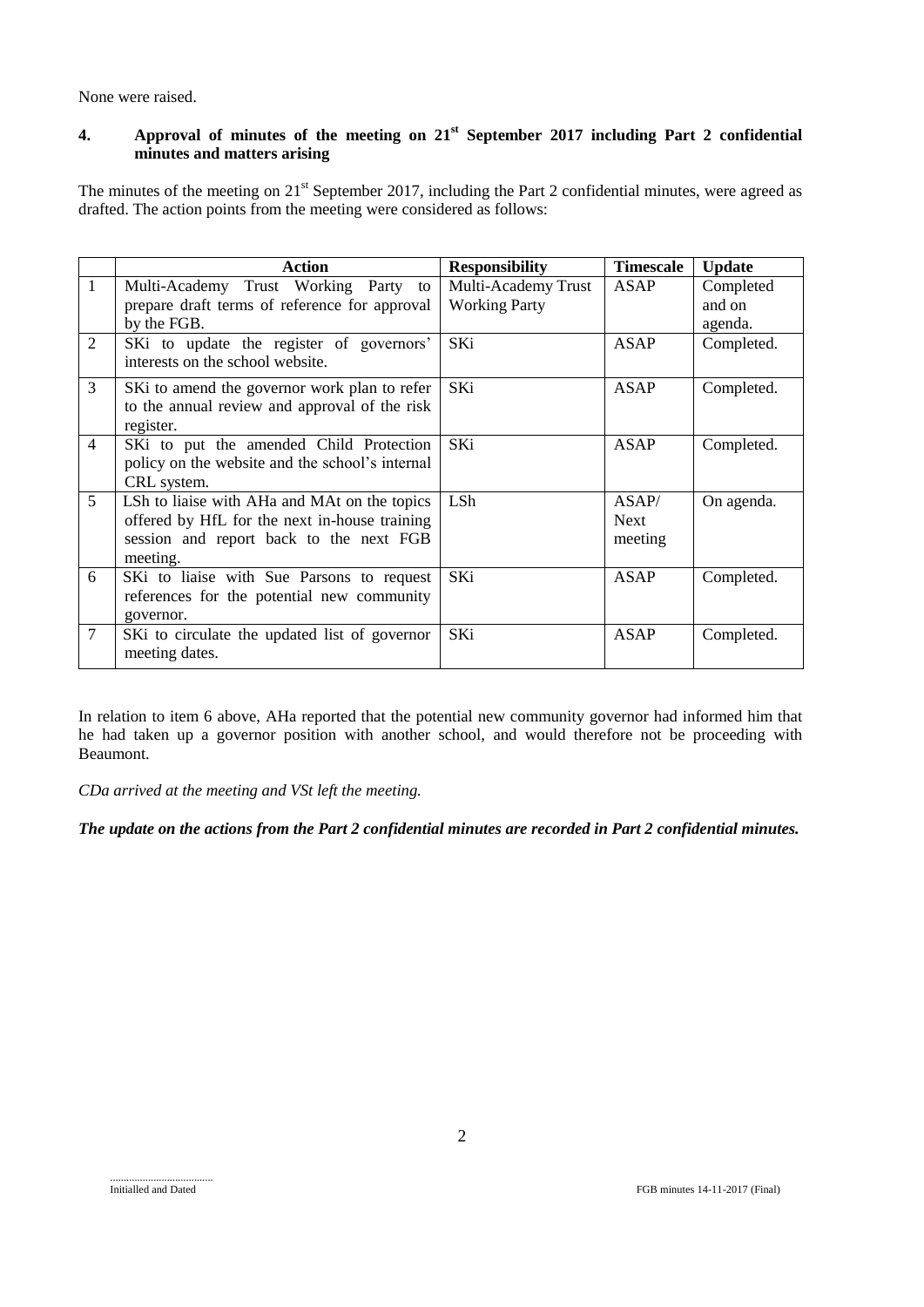None were raised.

# **4. Approval of minutes of the meeting on 21st September 2017 including Part 2 confidential minutes and matters arising**

The minutes of the meeting on 21<sup>st</sup> September 2017, including the Part 2 confidential minutes, were agreed as drafted. The action points from the meeting were considered as follows:

|                | <b>Action</b>                                   | <b>Responsibility</b> | <b>Timescale</b> | <b>Update</b> |
|----------------|-------------------------------------------------|-----------------------|------------------|---------------|
| $\mathbf{1}$   | Multi-Academy Trust Working Party to            | Multi-Academy Trust   | ASAP             | Completed     |
|                | prepare draft terms of reference for approval   | <b>Working Party</b>  |                  | and on        |
|                | by the FGB.                                     |                       |                  | agenda.       |
| 2              | SKi to update the register of governors'        | SKi                   | <b>ASAP</b>      | Completed.    |
|                | interests on the school website.                |                       |                  |               |
| 3              | SKi to amend the governor work plan to refer    | <b>SKi</b>            | <b>ASAP</b>      | Completed.    |
|                | to the annual review and approval of the risk   |                       |                  |               |
|                | register.                                       |                       |                  |               |
| $\overline{4}$ | SKi to put the amended Child Protection         | SKi                   | ASAP             | Completed.    |
|                | policy on the website and the school's internal |                       |                  |               |
|                | CRL system.                                     |                       |                  |               |
| 5              | LSh to liaise with AHa and MAt on the topics    | LSh.                  | ASAP/            | On agenda.    |
|                | offered by HfL for the next in-house training   |                       | <b>Next</b>      |               |
|                | session and report back to the next FGB         |                       | meeting          |               |
|                | meeting.                                        |                       |                  |               |
| 6              | SKi to liaise with Sue Parsons to request       | SKi                   | ASAP             | Completed.    |
|                | references for the potential new community      |                       |                  |               |
|                | governor.                                       |                       |                  |               |
| 7              | SKi to circulate the updated list of governor   | SKi                   | ASAP             | Completed.    |
|                | meeting dates.                                  |                       |                  |               |

In relation to item 6 above, AHa reported that the potential new community governor had informed him that he had taken up a governor position with another school, and would therefore not be proceeding with Beaumont.

*CDa arrived at the meeting and VSt left the meeting.*

*The update on the actions from the Part 2 confidential minutes are recorded in Part 2 confidential minutes.*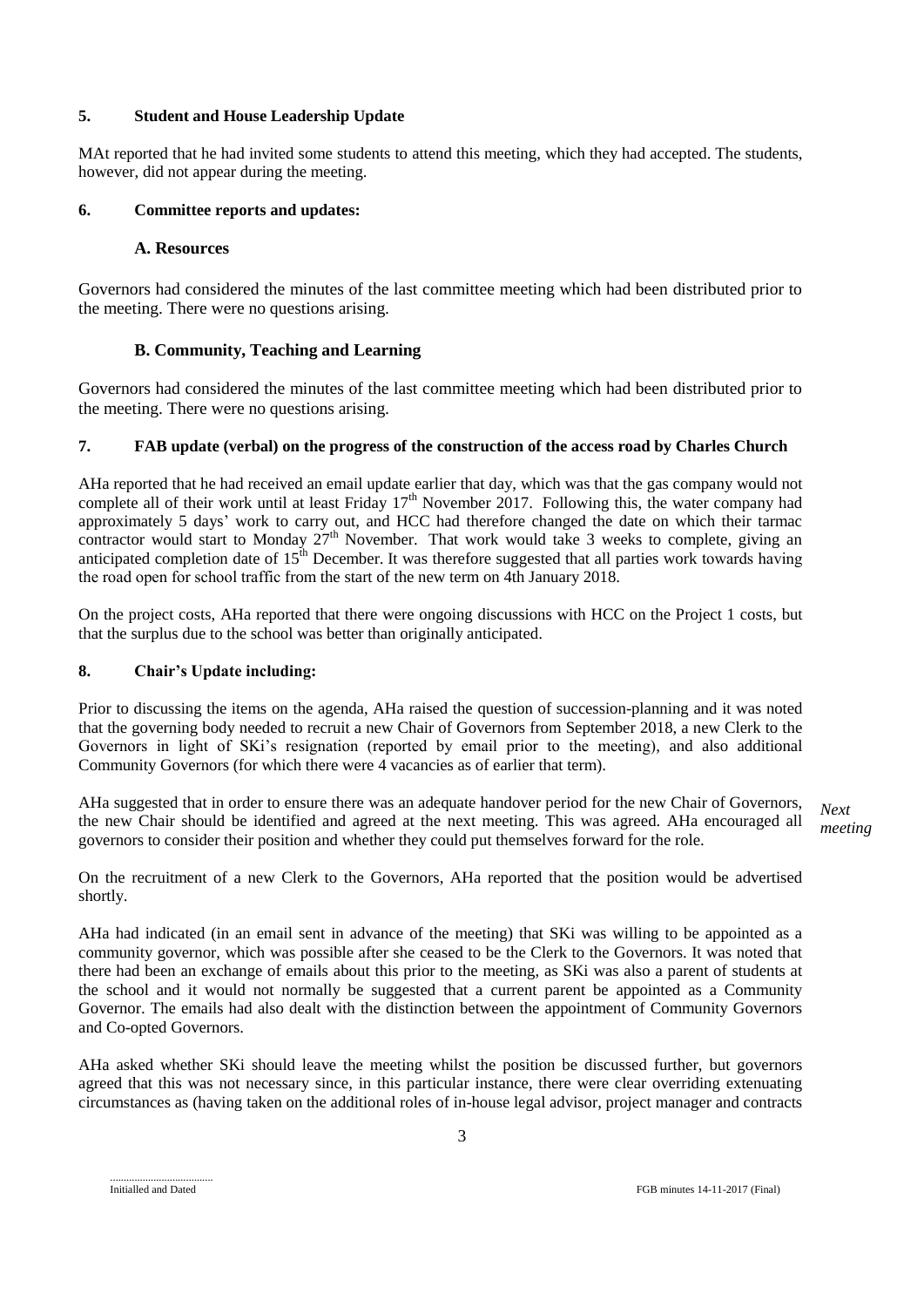# **5. Student and House Leadership Update**

MAt reported that he had invited some students to attend this meeting, which they had accepted. The students, however, did not appear during the meeting.

### **6. Committee reports and updates:**

### **A. Resources**

Governors had considered the minutes of the last committee meeting which had been distributed prior to the meeting. There were no questions arising.

# **B. Community, Teaching and Learning**

Governors had considered the minutes of the last committee meeting which had been distributed prior to the meeting. There were no questions arising.

# **7. FAB update (verbal) on the progress of the construction of the access road by Charles Church**

AHa reported that he had received an email update earlier that day, which was that the gas company would not complete all of their work until at least Friday  $17<sup>th</sup>$  November 2017. Following this, the water company had approximately 5 days' work to carry out, and HCC had therefore changed the date on which their tarmac contractor would start to Monday  $27<sup>th</sup>$  November. That work would take 3 weeks to complete, giving an anticipated completion date of  $15<sup>th</sup>$  December. It was therefore suggested that all parties work towards having the road open for school traffic from the start of the new term on 4th January 2018.

On the project costs, AHa reported that there were ongoing discussions with HCC on the Project 1 costs, but that the surplus due to the school was better than originally anticipated.

# **8. Chair's Update including:**

Prior to discussing the items on the agenda, AHa raised the question of succession-planning and it was noted that the governing body needed to recruit a new Chair of Governors from September 2018, a new Clerk to the Governors in light of SKi's resignation (reported by email prior to the meeting), and also additional Community Governors (for which there were 4 vacancies as of earlier that term).

AHa suggested that in order to ensure there was an adequate handover period for the new Chair of Governors, the new Chair should be identified and agreed at the next meeting. This was agreed. AHa encouraged all governors to consider their position and whether they could put themselves forward for the role.

*Next meeting*

On the recruitment of a new Clerk to the Governors, AHa reported that the position would be advertised shortly.

AHa had indicated (in an email sent in advance of the meeting) that SKi was willing to be appointed as a community governor, which was possible after she ceased to be the Clerk to the Governors. It was noted that there had been an exchange of emails about this prior to the meeting, as SKi was also a parent of students at the school and it would not normally be suggested that a current parent be appointed as a Community Governor. The emails had also dealt with the distinction between the appointment of Community Governors and Co-opted Governors.

AHa asked whether SKi should leave the meeting whilst the position be discussed further, but governors agreed that this was not necessary since, in this particular instance, there were clear overriding extenuating circumstances as (having taken on the additional roles of in-house legal advisor, project manager and contracts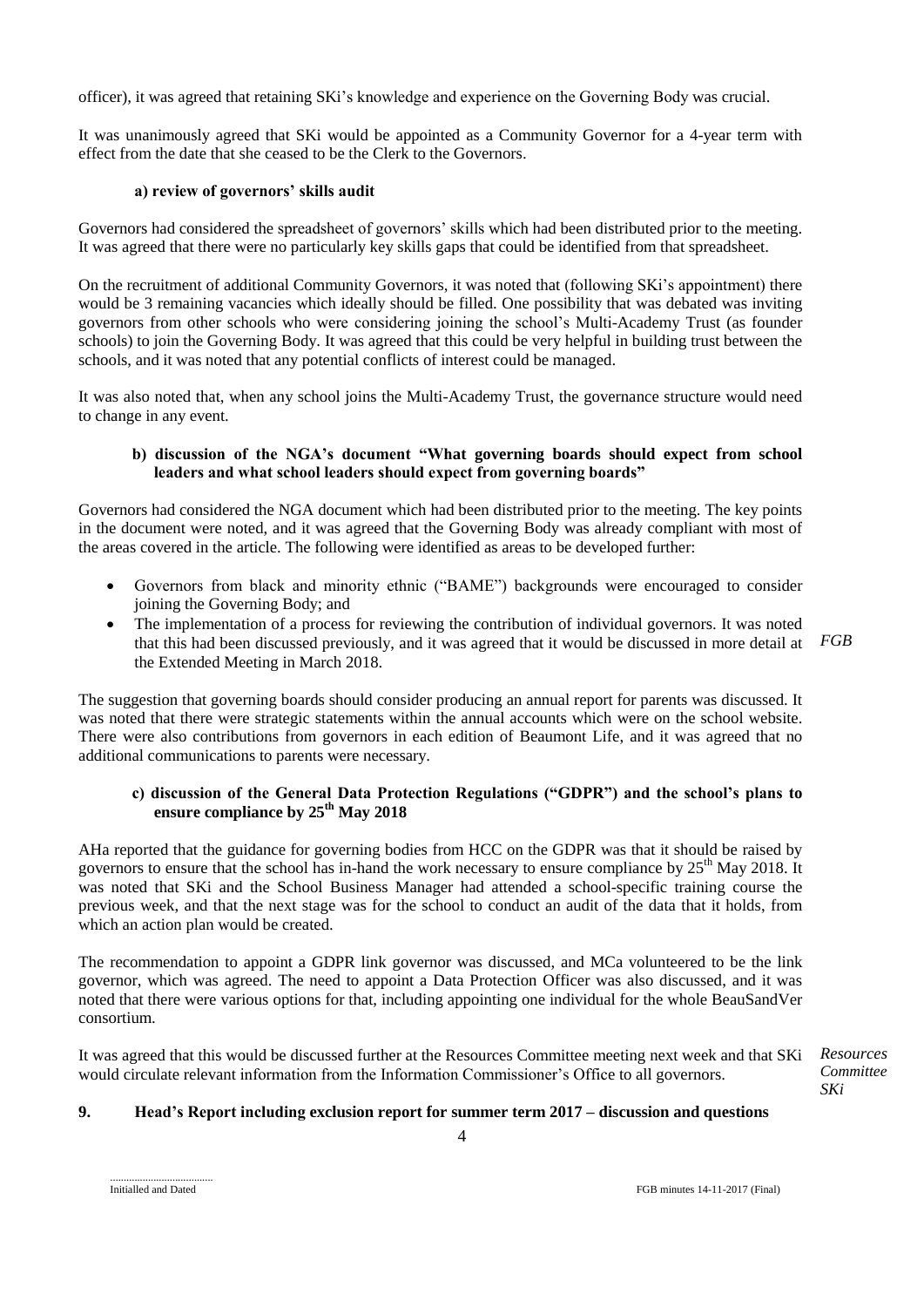officer), it was agreed that retaining SKi's knowledge and experience on the Governing Body was crucial.

It was unanimously agreed that SKi would be appointed as a Community Governor for a 4-year term with effect from the date that she ceased to be the Clerk to the Governors.

### **a) review of governors' skills audit**

Governors had considered the spreadsheet of governors' skills which had been distributed prior to the meeting. It was agreed that there were no particularly key skills gaps that could be identified from that spreadsheet.

On the recruitment of additional Community Governors, it was noted that (following SKi's appointment) there would be 3 remaining vacancies which ideally should be filled. One possibility that was debated was inviting governors from other schools who were considering joining the school's Multi-Academy Trust (as founder schools) to join the Governing Body. It was agreed that this could be very helpful in building trust between the schools, and it was noted that any potential conflicts of interest could be managed.

It was also noted that, when any school joins the Multi-Academy Trust, the governance structure would need to change in any event.

### **b) discussion of the NGA's document "What governing boards should expect from school leaders and what school leaders should expect from governing boards"**

Governors had considered the NGA document which had been distributed prior to the meeting. The key points in the document were noted, and it was agreed that the Governing Body was already compliant with most of the areas covered in the article. The following were identified as areas to be developed further:

- Governors from black and minority ethnic ("BAME") backgrounds were encouraged to consider joining the Governing Body; and
- The implementation of a process for reviewing the contribution of individual governors. It was noted that this had been discussed previously, and it was agreed that it would be discussed in more detail at the Extended Meeting in March 2018. *FGB*

The suggestion that governing boards should consider producing an annual report for parents was discussed. It was noted that there were strategic statements within the annual accounts which were on the school website. There were also contributions from governors in each edition of Beaumont Life, and it was agreed that no additional communications to parents were necessary.

### **c) discussion of the General Data Protection Regulations ("GDPR") and the school's plans to ensure compliance by 25th May 2018**

AHa reported that the guidance for governing bodies from HCC on the GDPR was that it should be raised by governors to ensure that the school has in-hand the work necessary to ensure compliance by  $25<sup>th</sup>$  May 2018. It was noted that SKi and the School Business Manager had attended a school-specific training course the previous week, and that the next stage was for the school to conduct an audit of the data that it holds, from which an action plan would be created.

The recommendation to appoint a GDPR link governor was discussed, and MCa volunteered to be the link governor, which was agreed. The need to appoint a Data Protection Officer was also discussed, and it was noted that there were various options for that, including appointing one individual for the whole BeauSandVer consortium.

It was agreed that this would be discussed further at the Resources Committee meeting next week and that SKi would circulate relevant information from the Information Commissioner's Office to all governors.

*Resources Committee SKi*

# **9. Head's Report including exclusion report for summer term 2017 – discussion and questions**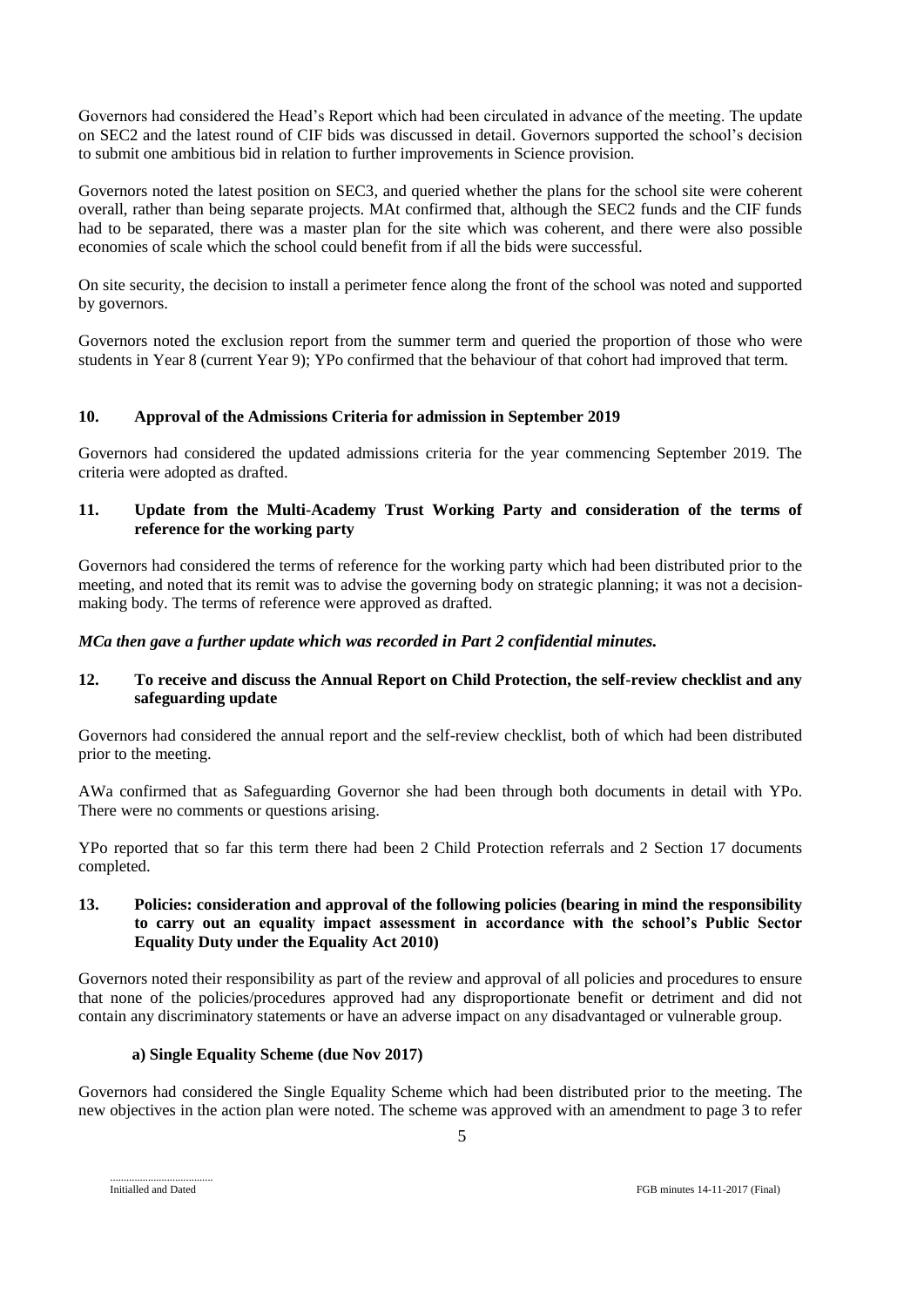Governors had considered the Head's Report which had been circulated in advance of the meeting. The update on SEC2 and the latest round of CIF bids was discussed in detail. Governors supported the school's decision to submit one ambitious bid in relation to further improvements in Science provision.

Governors noted the latest position on SEC3, and queried whether the plans for the school site were coherent overall, rather than being separate projects. MAt confirmed that, although the SEC2 funds and the CIF funds had to be separated, there was a master plan for the site which was coherent, and there were also possible economies of scale which the school could benefit from if all the bids were successful.

On site security, the decision to install a perimeter fence along the front of the school was noted and supported by governors.

Governors noted the exclusion report from the summer term and queried the proportion of those who were students in Year 8 (current Year 9); YPo confirmed that the behaviour of that cohort had improved that term.

# **10. Approval of the Admissions Criteria for admission in September 2019**

Governors had considered the updated admissions criteria for the year commencing September 2019. The criteria were adopted as drafted.

### **11. Update from the Multi-Academy Trust Working Party and consideration of the terms of reference for the working party**

Governors had considered the terms of reference for the working party which had been distributed prior to the meeting, and noted that its remit was to advise the governing body on strategic planning; it was not a decisionmaking body. The terms of reference were approved as drafted.

### *MCa then gave a further update which was recorded in Part 2 confidential minutes.*

### **12. To receive and discuss the Annual Report on Child Protection, the self-review checklist and any safeguarding update**

Governors had considered the annual report and the self-review checklist, both of which had been distributed prior to the meeting.

AWa confirmed that as Safeguarding Governor she had been through both documents in detail with YPo. There were no comments or questions arising.

YPo reported that so far this term there had been 2 Child Protection referrals and 2 Section 17 documents completed.

### **13. Policies: consideration and approval of the following policies (bearing in mind the responsibility to carry out an equality impact assessment in accordance with the school's Public Sector Equality Duty under the Equality Act 2010)**

Governors noted their responsibility as part of the review and approval of all policies and procedures to ensure that none of the policies/procedures approved had any disproportionate benefit or detriment and did not contain any discriminatory statements or have an adverse impact on any disadvantaged or vulnerable group.

#### **a) Single Equality Scheme (due Nov 2017)**

Governors had considered the Single Equality Scheme which had been distributed prior to the meeting. The new objectives in the action plan were noted. The scheme was approved with an amendment to page 3 to refer

Initialled and Dated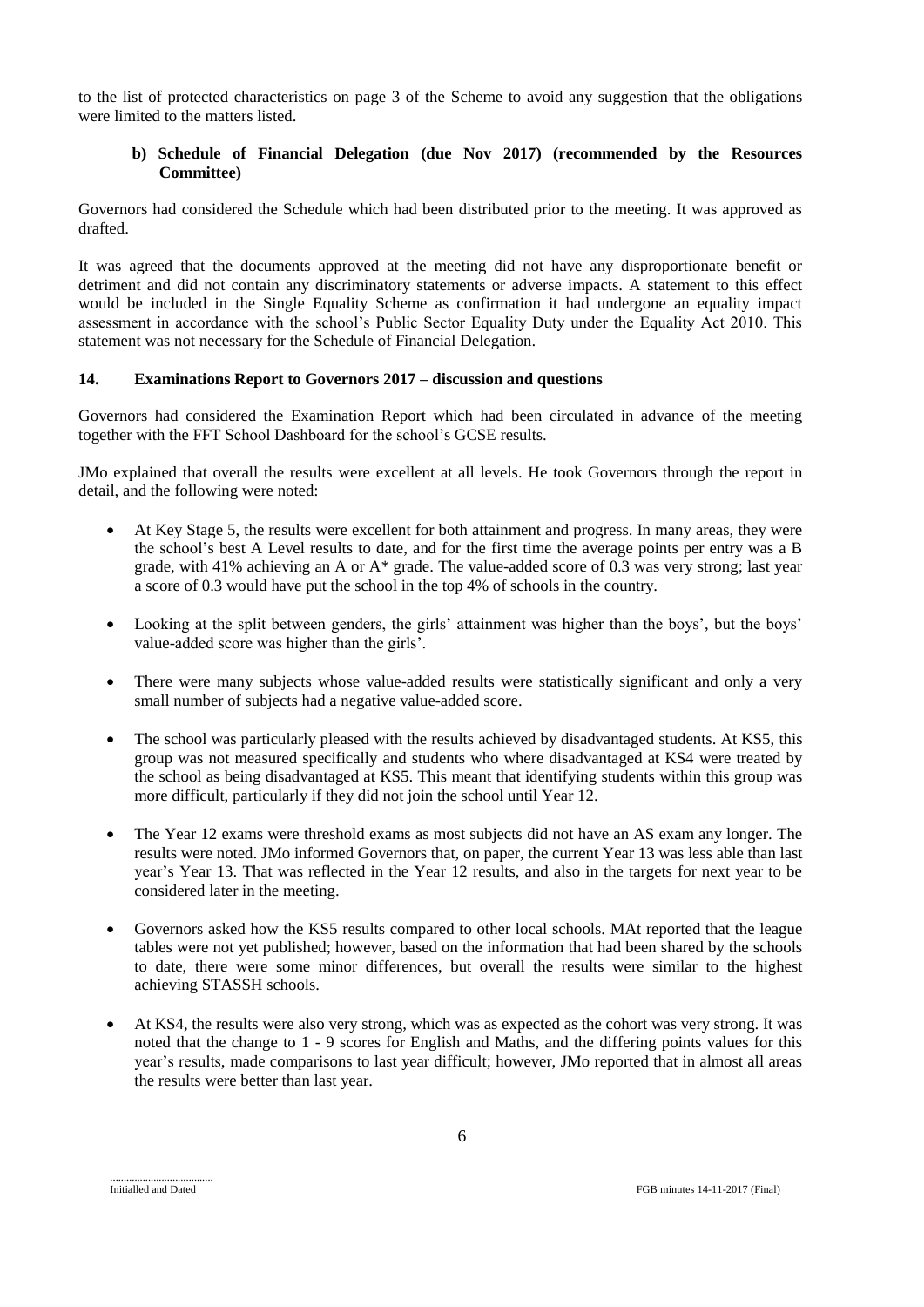to the list of protected characteristics on page 3 of the Scheme to avoid any suggestion that the obligations were limited to the matters listed.

# **b) Schedule of Financial Delegation (due Nov 2017) (recommended by the Resources Committee)**

Governors had considered the Schedule which had been distributed prior to the meeting. It was approved as drafted.

It was agreed that the documents approved at the meeting did not have any disproportionate benefit or detriment and did not contain any discriminatory statements or adverse impacts. A statement to this effect would be included in the Single Equality Scheme as confirmation it had undergone an equality impact assessment in accordance with the school's Public Sector Equality Duty under the Equality Act 2010. This statement was not necessary for the Schedule of Financial Delegation.

### **14. Examinations Report to Governors 2017 – discussion and questions**

Governors had considered the Examination Report which had been circulated in advance of the meeting together with the FFT School Dashboard for the school's GCSE results.

JMo explained that overall the results were excellent at all levels. He took Governors through the report in detail, and the following were noted:

- At Key Stage 5, the results were excellent for both attainment and progress. In many areas, they were the school's best A Level results to date, and for the first time the average points per entry was a B grade, with 41% achieving an A or A\* grade. The value-added score of 0.3 was very strong; last year a score of 0.3 would have put the school in the top 4% of schools in the country.
- Looking at the split between genders, the girls' attainment was higher than the boys', but the boys' value-added score was higher than the girls'.
- There were many subjects whose value-added results were statistically significant and only a very small number of subjects had a negative value-added score.
- The school was particularly pleased with the results achieved by disadvantaged students. At KS5, this group was not measured specifically and students who where disadvantaged at KS4 were treated by the school as being disadvantaged at KS5. This meant that identifying students within this group was more difficult, particularly if they did not join the school until Year 12.
- The Year 12 exams were threshold exams as most subjects did not have an AS exam any longer. The results were noted. JMo informed Governors that, on paper, the current Year 13 was less able than last year's Year 13. That was reflected in the Year 12 results, and also in the targets for next year to be considered later in the meeting.
- Governors asked how the KS5 results compared to other local schools. MAt reported that the league tables were not yet published; however, based on the information that had been shared by the schools to date, there were some minor differences, but overall the results were similar to the highest achieving STASSH schools.
- At KS4, the results were also very strong, which was as expected as the cohort was very strong. It was noted that the change to 1 - 9 scores for English and Maths, and the differing points values for this year's results, made comparisons to last year difficult; however, JMo reported that in almost all areas the results were better than last year.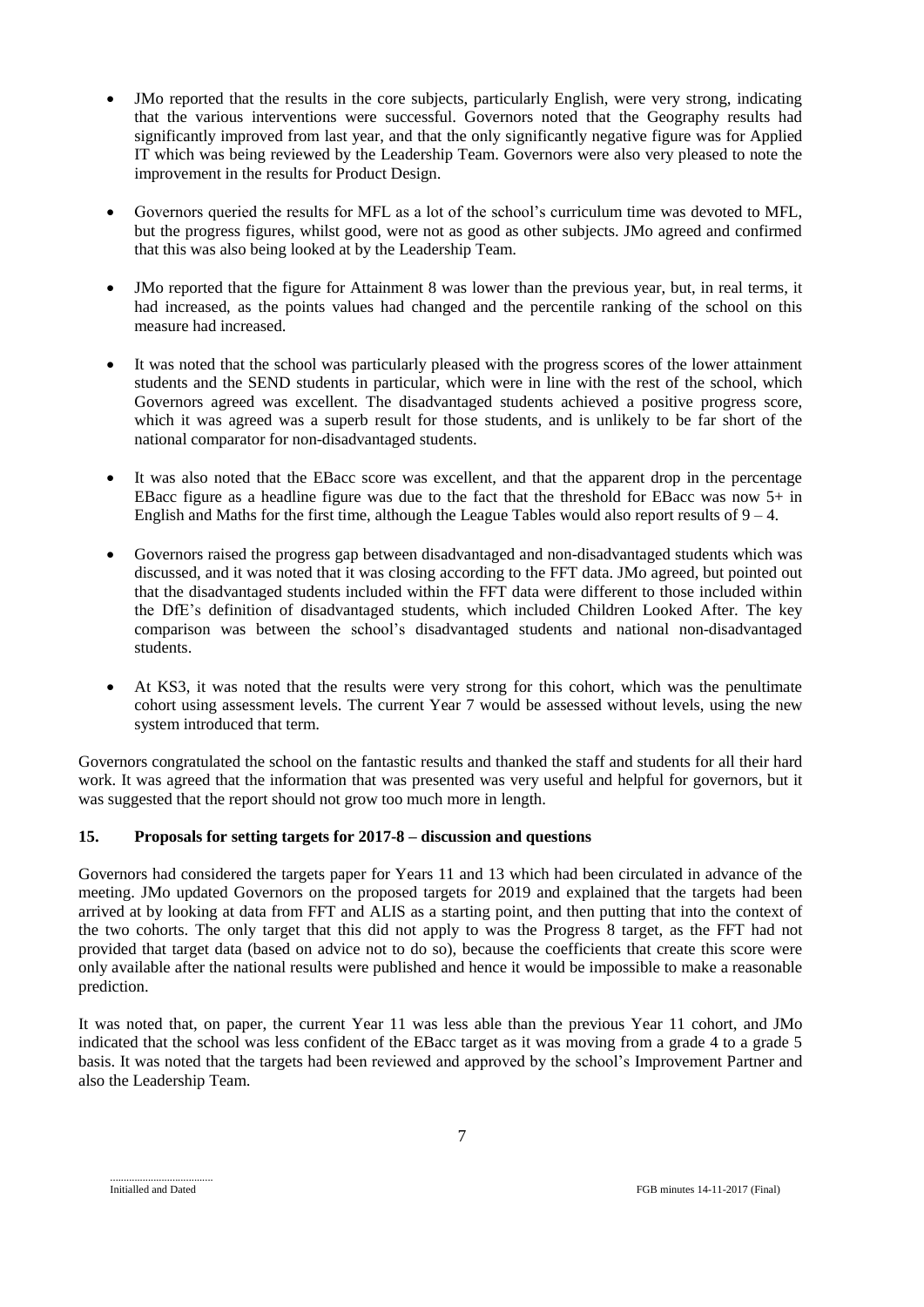- JMo reported that the results in the core subjects, particularly English, were very strong, indicating that the various interventions were successful. Governors noted that the Geography results had significantly improved from last year, and that the only significantly negative figure was for Applied IT which was being reviewed by the Leadership Team. Governors were also very pleased to note the improvement in the results for Product Design.
- Governors queried the results for MFL as a lot of the school's curriculum time was devoted to MFL, but the progress figures, whilst good, were not as good as other subjects. JMo agreed and confirmed that this was also being looked at by the Leadership Team.
- JMo reported that the figure for Attainment 8 was lower than the previous year, but, in real terms, it had increased, as the points values had changed and the percentile ranking of the school on this measure had increased.
- It was noted that the school was particularly pleased with the progress scores of the lower attainment students and the SEND students in particular, which were in line with the rest of the school, which Governors agreed was excellent. The disadvantaged students achieved a positive progress score, which it was agreed was a superb result for those students, and is unlikely to be far short of the national comparator for non-disadvantaged students.
- It was also noted that the EBacc score was excellent, and that the apparent drop in the percentage EBacc figure as a headline figure was due to the fact that the threshold for EBacc was now 5+ in English and Maths for the first time, although the League Tables would also report results of  $9 - 4$ .
- Governors raised the progress gap between disadvantaged and non-disadvantaged students which was discussed, and it was noted that it was closing according to the FFT data. JMo agreed, but pointed out that the disadvantaged students included within the FFT data were different to those included within the DfE's definition of disadvantaged students, which included Children Looked After. The key comparison was between the school's disadvantaged students and national non-disadvantaged students.
- At KS3, it was noted that the results were very strong for this cohort, which was the penultimate cohort using assessment levels. The current Year 7 would be assessed without levels, using the new system introduced that term.

Governors congratulated the school on the fantastic results and thanked the staff and students for all their hard work. It was agreed that the information that was presented was very useful and helpful for governors, but it was suggested that the report should not grow too much more in length.

# **15. Proposals for setting targets for 2017-8 – discussion and questions**

Governors had considered the targets paper for Years 11 and 13 which had been circulated in advance of the meeting. JMo updated Governors on the proposed targets for 2019 and explained that the targets had been arrived at by looking at data from FFT and ALIS as a starting point, and then putting that into the context of the two cohorts. The only target that this did not apply to was the Progress 8 target, as the FFT had not provided that target data (based on advice not to do so), because the coefficients that create this score were only available after the national results were published and hence it would be impossible to make a reasonable prediction.

It was noted that, on paper, the current Year 11 was less able than the previous Year 11 cohort, and JMo indicated that the school was less confident of the EBacc target as it was moving from a grade 4 to a grade 5 basis. It was noted that the targets had been reviewed and approved by the school's Improvement Partner and also the Leadership Team.